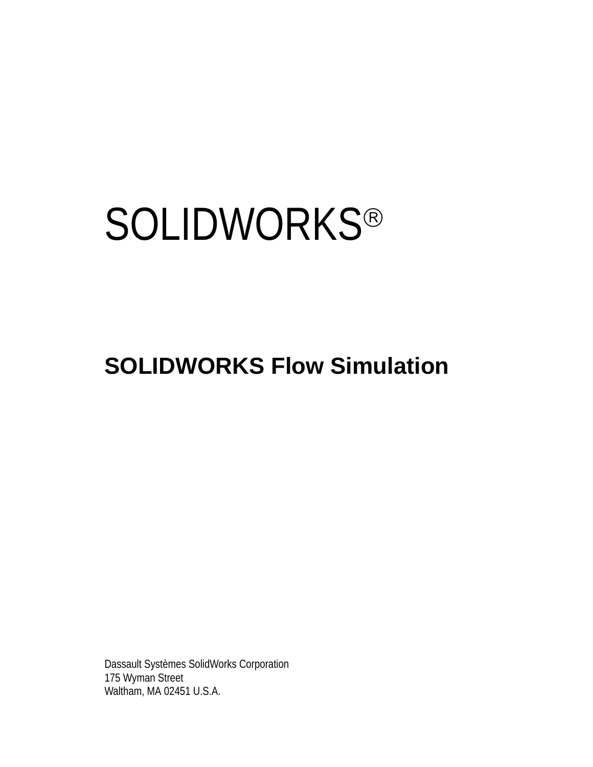# **SOLIDWORKS®**

# **SOLIDWORKS Flow Simulation**

Dassault Systèmes SolidWorks Corporation 175 Wyman Street Waltham, MA 02451 U.S.A.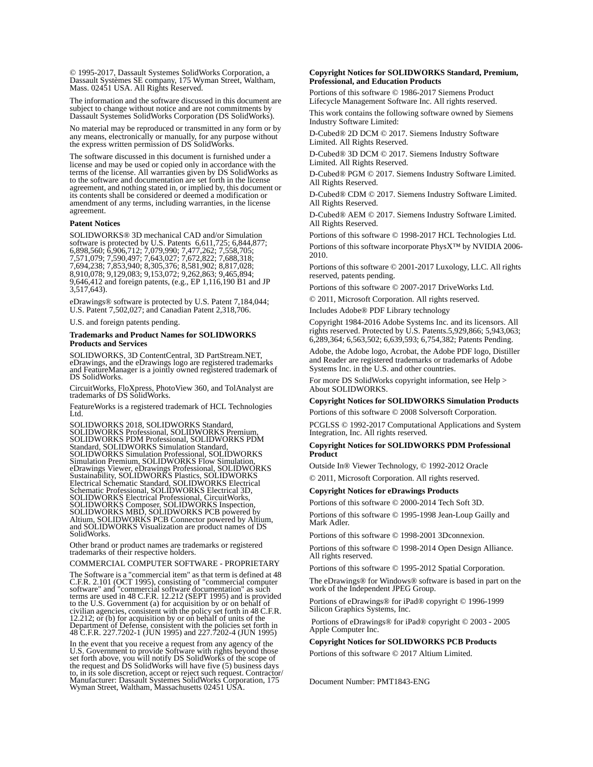© 1995-2017, Dassault Systemes SolidWorks Corporation, a Dassault Systèmes SE company, 175 Wyman Street, Waltham, Mass. 02451 USA. All Rights Reserved.

The information and the software discussed in this document are subject to change without notice and are not commitments by Dassault Systemes SolidWorks Corporation (DS SolidWorks).

No material may be reproduced or transmitted in any form or by any means, electronically or manually, for any purpose without the express written permission of DS SolidWorks.

The software discussed in this document is furnished under a license and may be used or copied only in accordance with the terms of the license. All warranties given by DS SolidWorks as to the software and documentation are set forth in the license agreement, and nothing stated in, or implied by, this document or its contents shall be considered or deemed a modification or amendment of any terms, including warranties, in the license agreement.

#### **Patent Notices**

SOLIDWORKS® 3D mechanical CAD and/or Simulation software is protected by U.S. Patents 6,611,725; 6,844,877; 6,898,560; 6,906,712; 7,079,990; 7,477,262; 7,558,705; 7,571,079; 7,590,497; 7,643,027; 7,672,822; 7,688,318; 7,694,238; 7,853,940; 8,305,376; 8,581,902; 8,817,028; 8,910,078; 9,129,083; 9,153,072; 9,262,863; 9,465,894; 9,646,412 and foreign patents, (e.g., EP 1,116,190 B1 and JP  $3,517,643$ .

eDrawings® software is protected by U.S. Patent 7,184,044; U.S. Patent 7,502,027; and Canadian Patent 2,318,706.

U.S. and foreign patents pending.

#### **Trademarks and Product Names for SOLIDWORKS Products and Services**

SOLIDWORKS, 3D ContentCentral, 3D PartStream.NET, eDrawings, and the eDrawings logo are registered trademarks and FeatureManager is a jointly owned registered trademark of DS SolidWorks.

CircuitWorks, FloXpress, PhotoView 360, and TolAnalyst are trademarks of DS SolidWorks.

FeatureWorks is a registered trademark of HCL Technologies Ltd.

SOLIDWORKS 2018, SOLIDWORKS Standard, SOLIDWORKS Professional, SOLIDWORKS Premium, SOLIDWORKS PDM Professional, SOLIDWORKS PDM Standard, SOLIDWORKS Simulation Standard, SOLIDWORKS Simulation Professional, SOLIDWORKS<br>Simulation Premium, SOLIDWORKS Flow Simulation,<br>eDrawings Viewer, eDrawings Professional, SOLIDWORKS<br>Sustainability, SOLIDWORKS Plastics, SOLIDWORKS<br>Electrical Schematic Stand SOLIDWORKS Electrical Professional, CircuitWorks,<br>SOLIDWORKS Composer, SOLIDWORKS Inspection,<br>SOLIDWORKS MBD, SOLIDWORKS PCB powered by<br>Altium, SOLIDWORKS PCB Connector powered by Altium,<br>and SOLIDWORKS Visualization are p SolidWorks.

Other brand or product names are trademarks or registered trademarks of their respective holders.

COMMERCIAL COMPUTER SOFTWARE - PROPRIETARY

The Software is a "commercial item" as that term is defined at 48 C.F.R. 2.101 (OCT 1995), consisting of "commercial computer software" and "commercial software documentation" as such<br>terms are used in 48 C.F.R. 12.212 (SEPT 1995) and is provided<br>to the U.S. Government (a) for acquisition by or on behalf of<br>civilian agencies, consistent with the Department of Defense, consistent with the policies set forth in 48 C.F.R. 227.7202-1 (JUN 1995) and 227.7202-4 (JUN 1995)

In the event that you receive a request from any agency of the If the event that you created Software with rights beyond those<br>set forth above, you will notify DS SolidWorks of the scope of<br>the request and DS SolidWorks will have five (5) business days<br>to, in its sole discretion, acce Wyman Street, Waltham, Massachusetts 02451 USA.

## **Copyright Notices for SOLIDWORKS Standard, Premium, Professional, and Education Products**

Portions of this software © 1986-2017 Siemens Product Lifecycle Management Software Inc. All rights reserved.

This work contains the following software owned by Siemens Industry Software Limited:

D-Cubed® 2D DCM © 2017. Siemens Industry Software Limited. All Rights Reserved.

D-Cubed® 3D DCM © 2017. Siemens Industry Software Limited. All Rights Reserved.

D-Cubed® PGM © 2017. Siemens Industry Software Limited. All Rights Reserved.

D-Cubed® CDM © 2017. Siemens Industry Software Limited. All Rights Reserved.

D-Cubed® AEM © 2017. Siemens Industry Software Limited. All Rights Reserved.

Portions of this software © 1998-2017 HCL Technologies Ltd. Portions of this software incorporate PhysX™ by NVIDIA 2006- 2010.

Portions of this software © 2001-2017 Luxology, LLC. All rights reserved, patents pending.

Portions of this software © 2007-2017 DriveWorks Ltd.

© 2011, Microsoft Corporation. All rights reserved.

Includes Adobe® PDF Library technology

Copyright 1984-2016 Adobe Systems Inc. and its licensors. All rights reserved. Protected by U.S. Patents.5,929,866; 5,943,063; 6,289,364; 6,563,502; 6,639,593; 6,754,382; Patents Pending.

Adobe, the Adobe logo, Acrobat, the Adobe PDF logo, Distiller and Reader are registered trademarks or trademarks of Adobe Systems Inc. in the U.S. and other countries.

For more DS SolidWorks copyright information, see Help > About SOLIDWORKS.

### **Copyright Notices for SOLIDWORKS Simulation Products**

Portions of this software © 2008 Solversoft Corporation.

PCGLSS © 1992-2017 Computational Applications and System Integration, Inc. All rights reserved.

#### **Copyright Notices for SOLIDWORKS PDM Professional Product**

Outside In® Viewer Technology, © 1992-2012 Oracle © 2011, Microsoft Corporation. All rights reserved.

## **Copyright Notices for eDrawings Products**

Portions of this software © 2000-2014 Tech Soft 3D.

Portions of this software © 1995-1998 Jean-Loup Gailly and Mark Adler.

Portions of this software © 1998-2001 3Dconnexion.

Portions of this software © 1998-2014 Open Design Alliance. All rights reserved.

Portions of this software © 1995-2012 Spatial Corporation.

The eDrawings® for Windows® software is based in part on the work of the Independent JPEG Group.

Portions of eDrawings® for iPad® copyright © 1996-1999 Silicon Graphics Systems, Inc.

 Portions of eDrawings® for iPad® copyright © 2003 - 2005 Apple Computer Inc.

#### **Copyright Notices for SOLIDWORKS PCB Products**

Portions of this software © 2017 Altium Limited.

Document Number: PMT1843-ENG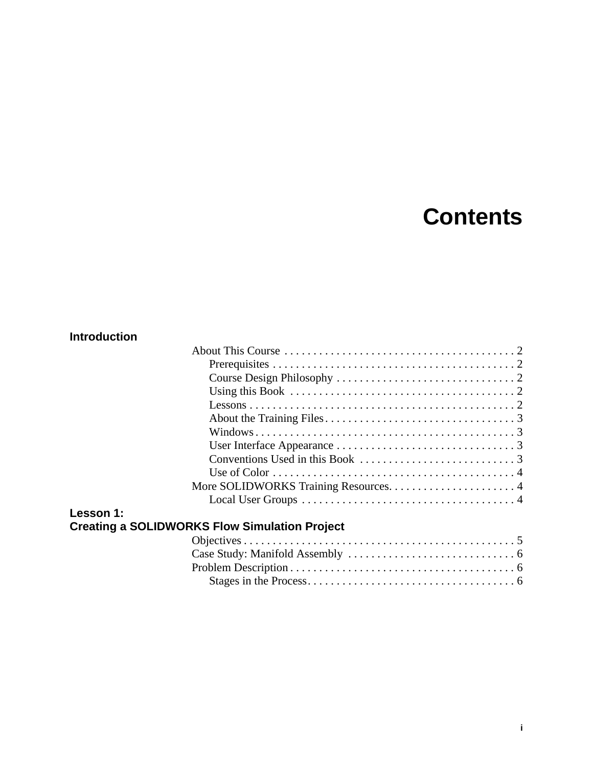## **Contents**

## **Introduction**

**Lesson 1:**

| Using this Book $\ldots \ldots \ldots \ldots \ldots \ldots \ldots \ldots \ldots \ldots \ldots \ldots \ldots$ |  |
|--------------------------------------------------------------------------------------------------------------|--|
|                                                                                                              |  |
|                                                                                                              |  |
|                                                                                                              |  |
|                                                                                                              |  |
|                                                                                                              |  |
|                                                                                                              |  |
|                                                                                                              |  |
|                                                                                                              |  |
| CLUDWORKS Flow Simulation Broject                                                                            |  |

## **Creating a SOLIDWORKS Flow Simulation Project**

| Case Study: Manifold Assembly $\dots\dots\dots\dots\dots\dots\dots\dots\dots\dots\dots$ |  |
|-----------------------------------------------------------------------------------------|--|
|                                                                                         |  |
|                                                                                         |  |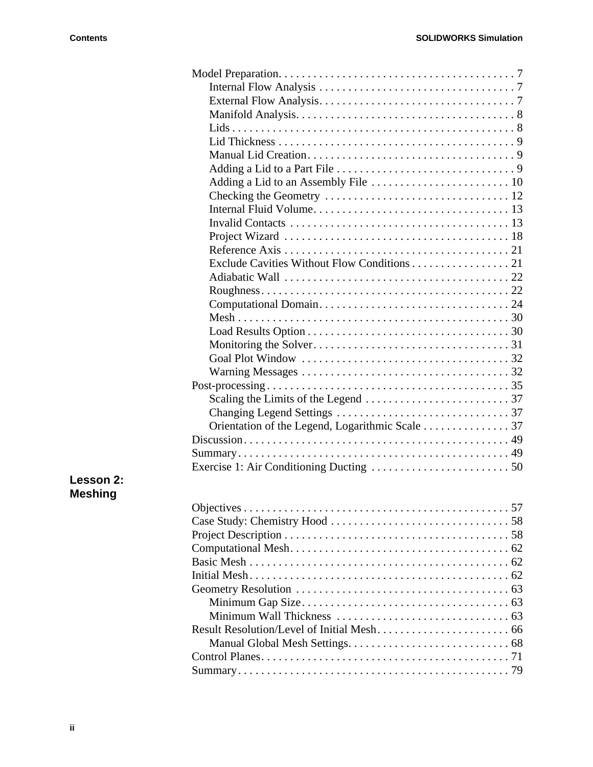| Exclude Cavities Without Flow Conditions 21 |
|---------------------------------------------|
|                                             |
|                                             |
|                                             |
|                                             |
|                                             |
|                                             |
|                                             |
|                                             |
|                                             |
|                                             |
|                                             |
|                                             |
|                                             |
|                                             |
|                                             |
|                                             |

## **Lesson 2: Meshing**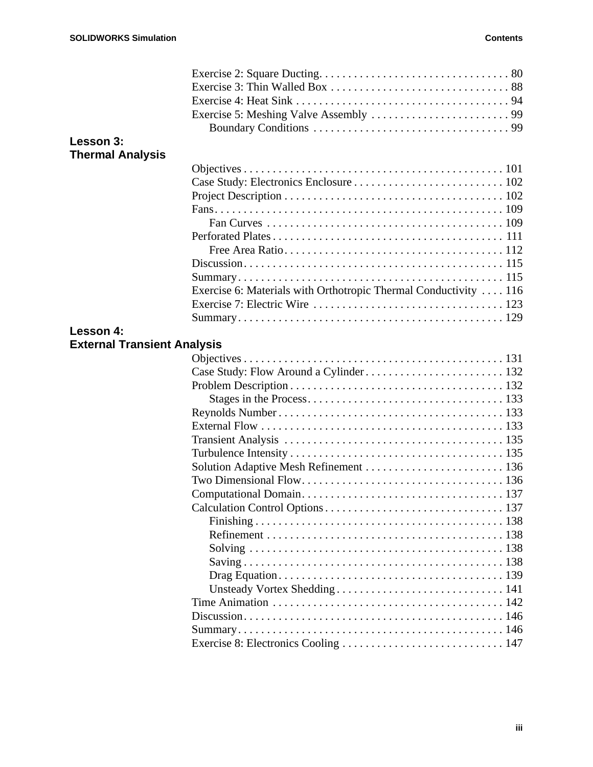| Lesson 3:                          |                                                                  |  |
|------------------------------------|------------------------------------------------------------------|--|
| <b>Thermal Analysis</b>            |                                                                  |  |
|                                    |                                                                  |  |
|                                    |                                                                  |  |
|                                    |                                                                  |  |
|                                    |                                                                  |  |
|                                    |                                                                  |  |
|                                    |                                                                  |  |
|                                    |                                                                  |  |
|                                    |                                                                  |  |
|                                    |                                                                  |  |
|                                    | Exercise 6: Materials with Orthotropic Thermal Conductivity  116 |  |
|                                    |                                                                  |  |
|                                    |                                                                  |  |
| Lesson 4:                          |                                                                  |  |
| <b>External Transient Analysis</b> |                                                                  |  |
|                                    |                                                                  |  |
|                                    |                                                                  |  |
|                                    |                                                                  |  |
|                                    |                                                                  |  |
|                                    |                                                                  |  |
|                                    |                                                                  |  |
|                                    |                                                                  |  |
|                                    |                                                                  |  |
|                                    | Solution Adaptive Mesh Refinement  136                           |  |
|                                    |                                                                  |  |
|                                    |                                                                  |  |
|                                    |                                                                  |  |
|                                    |                                                                  |  |
|                                    |                                                                  |  |
|                                    |                                                                  |  |
|                                    |                                                                  |  |
|                                    |                                                                  |  |
|                                    |                                                                  |  |
|                                    |                                                                  |  |
|                                    |                                                                  |  |
|                                    |                                                                  |  |
|                                    |                                                                  |  |
|                                    | Exercise 8: Electronics Cooling  147                             |  |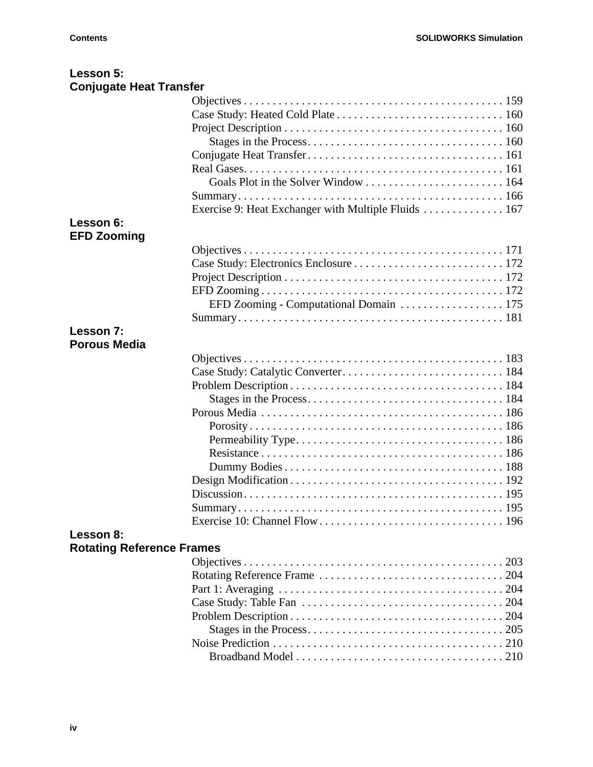| Lesson 5:                        |                                                     |
|----------------------------------|-----------------------------------------------------|
| <b>Conjugate Heat Transfer</b>   |                                                     |
|                                  |                                                     |
|                                  |                                                     |
|                                  |                                                     |
|                                  |                                                     |
|                                  |                                                     |
|                                  |                                                     |
|                                  |                                                     |
|                                  |                                                     |
|                                  | Exercise 9: Heat Exchanger with Multiple Fluids 167 |
| Lesson 6:                        |                                                     |
| <b>EFD Zooming</b>               |                                                     |
|                                  |                                                     |
|                                  |                                                     |
|                                  |                                                     |
|                                  |                                                     |
|                                  | EFD Zooming - Computational Domain 175              |
|                                  |                                                     |
| Lesson 7:                        |                                                     |
| <b>Porous Media</b>              |                                                     |
|                                  |                                                     |
|                                  |                                                     |
|                                  |                                                     |
|                                  |                                                     |
|                                  |                                                     |
|                                  |                                                     |
|                                  |                                                     |
|                                  |                                                     |
|                                  |                                                     |
|                                  |                                                     |
|                                  |                                                     |
|                                  |                                                     |
|                                  |                                                     |
|                                  |                                                     |
| Lesson 8:                        |                                                     |
| <b>Rotating Reference Frames</b> |                                                     |
|                                  |                                                     |
|                                  |                                                     |
|                                  |                                                     |
|                                  |                                                     |
|                                  |                                                     |
|                                  |                                                     |
|                                  |                                                     |
|                                  |                                                     |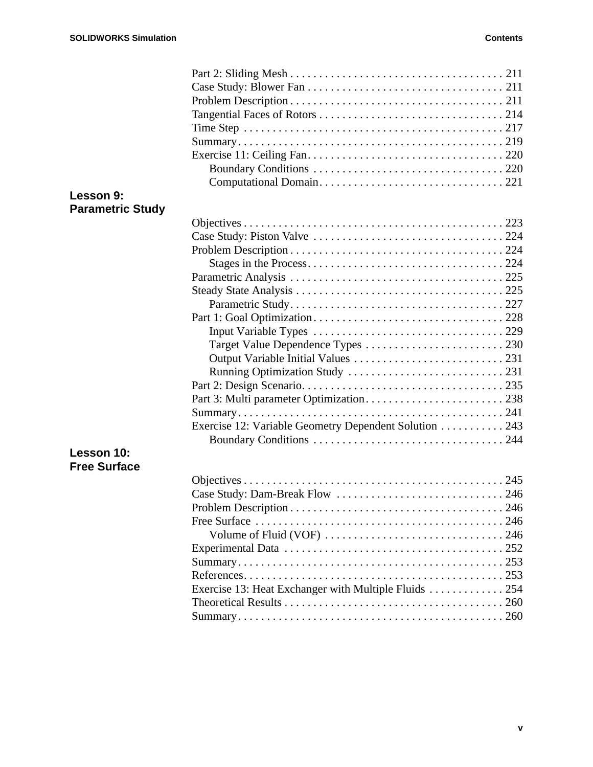| Lesson 9:               |                                                       |  |
|-------------------------|-------------------------------------------------------|--|
| <b>Parametric Study</b> |                                                       |  |
|                         |                                                       |  |
|                         |                                                       |  |
|                         |                                                       |  |
|                         |                                                       |  |
|                         |                                                       |  |
|                         |                                                       |  |
|                         |                                                       |  |
|                         |                                                       |  |
|                         |                                                       |  |
|                         |                                                       |  |
|                         |                                                       |  |
|                         |                                                       |  |
|                         |                                                       |  |
|                         |                                                       |  |
|                         |                                                       |  |
|                         | Exercise 12: Variable Geometry Dependent Solution 243 |  |
|                         |                                                       |  |
| Lesson 10:              |                                                       |  |
| <b>Free Surface</b>     |                                                       |  |
|                         |                                                       |  |
|                         |                                                       |  |
|                         |                                                       |  |
|                         |                                                       |  |
|                         |                                                       |  |
|                         |                                                       |  |
|                         |                                                       |  |
|                         |                                                       |  |
|                         | Exercise 13: Heat Exchanger with Multiple Fluids  254 |  |
|                         |                                                       |  |
|                         |                                                       |  |
|                         |                                                       |  |